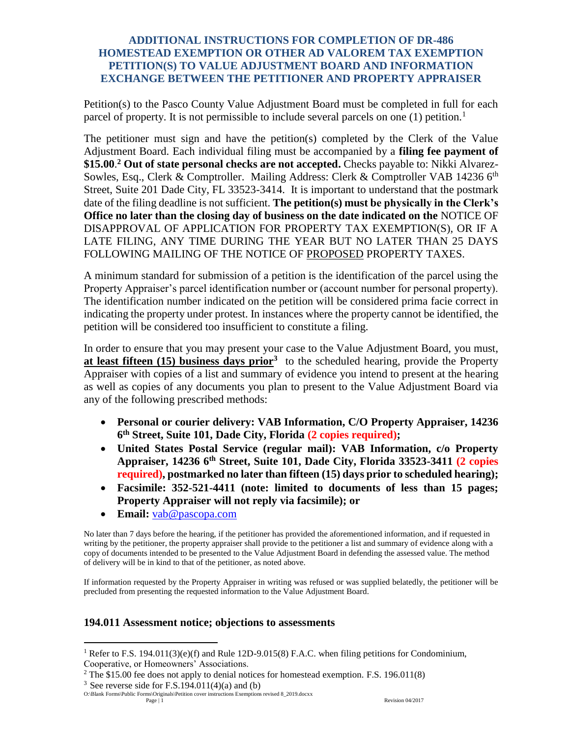## **ADDITIONAL INSTRUCTIONS FOR COMPLETION OF DR-486 HOMESTEAD EXEMPTION OR OTHER AD VALOREM TAX EXEMPTION PETITION(S) TO VALUE ADJUSTMENT BOARD AND INFORMATION EXCHANGE BETWEEN THE PETITIONER AND PROPERTY APPRAISER**

Petition(s) to the Pasco County Value Adjustment Board must be completed in full for each parcel of property. It is not permissible to include several parcels on one  $(1)$  petition.<sup>1</sup>

The petitioner must sign and have the petition(s) completed by the Clerk of the Value Adjustment Board. Each individual filing must be accompanied by a **filing fee payment of \$15.00**. **<sup>2</sup> Out of state personal checks are not accepted.** Checks payable to: Nikki Alvarez-Sowles, Esq., Clerk & Comptroller. Mailing Address: Clerk & Comptroller VAB 14236 6<sup>th</sup> Street, Suite 201 Dade City, FL 33523-3414. It is important to understand that the postmark date of the filing deadline is not sufficient. **The petition(s) must be physically in the Clerk's Office no later than the closing day of business on the date indicated on the** NOTICE OF DISAPPROVAL OF APPLICATION FOR PROPERTY TAX EXEMPTION(S), OR IF A LATE FILING, ANY TIME DURING THE YEAR BUT NO LATER THAN 25 DAYS FOLLOWING MAILING OF THE NOTICE OF PROPOSED PROPERTY TAXES.

A minimum standard for submission of a petition is the identification of the parcel using the Property Appraiser's parcel identification number or (account number for personal property). The identification number indicated on the petition will be considered prima facie correct in indicating the property under protest. In instances where the property cannot be identified, the petition will be considered too insufficient to constitute a filing.

In order to ensure that you may present your case to the Value Adjustment Board, you must, **at least fifteen (15) business days prior**<sup>3</sup> to the scheduled hearing, provide the Property Appraiser with copies of a list and summary of evidence you intend to present at the hearing as well as copies of any documents you plan to present to the Value Adjustment Board via any of the following prescribed methods:

- **Personal or courier delivery: VAB Information, C/O Property Appraiser, 14236 6 th Street, Suite 101, Dade City, Florida (2 copies required);**
- **United States Postal Service (regular mail): VAB Information, c/o Property Appraiser, 14236 6th Street, Suite 101, Dade City, Florida 33523-3411 (2 copies required), postmarked no later than fifteen (15) days prior to scheduled hearing);**
- **Facsimile: 352-521-4411 (note: limited to documents of less than 15 pages; Property Appraiser will not reply via facsimile); or**
- **Email:** [vab@pascopa.com](mailto:vab@pascopa.com)

No later than 7 days before the hearing, if the petitioner has provided the aforementioned information, and if requested in writing by the petitioner, the property appraiser shall provide to the petitioner a list and summary of evidence along with a copy of documents intended to be presented to the Value Adjustment Board in defending the assessed value. The method of delivery will be in kind to that of the petitioner, as noted above.

If information requested by the Property Appraiser in writing was refused or was supplied belatedly, the petitioner will be precluded from presenting the requested information to the Value Adjustment Board.

## **194.011 Assessment notice; objections to assessments**

 $2$  The \$15.00 fee does not apply to denial notices for homestead exemption. F.S. 196.011(8)

 $\overline{a}$ 

<sup>&</sup>lt;sup>1</sup> Refer to F.S. 194.011(3)(e)(f) and Rule 12D-9.015(8) F.A.C. when filing petitions for Condominium, Cooperative, or Homeowners' Associations.

<sup>&</sup>lt;sup>3</sup> See reverse side for F.S.194.011(4)(a) and (b)